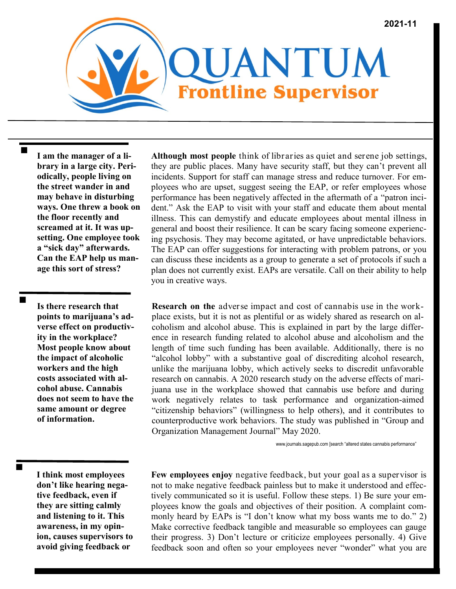

**I am the manager of a library in a large city. Periodically, people living on the street wander in and may behave in disturbing ways. One threw a book on the floor recently and screamed at it. It was upsetting. One employee took a "sick day" afterwards. Can the EAP help us manage this sort of stress?**

**Is there research that points to marijuana's adverse effect on productivity in the workplace? Most people know about the impact of alcoholic workers and the high costs associated with alcohol abuse. Cannabis does not seem to have the same amount or degree of information.** 

**Although most people** think of libraries as quiet and serene job settings, they are public places. Many have security staff, but they can't prevent all incidents. Support for staff can manage stress and reduce turnover. For employees who are upset, suggest seeing the EAP, or refer employees whose performance has been negatively affected in the aftermath of a "patron incident." Ask the EAP to visit with your staff and educate them about mental illness. This can demystify and educate employees about mental illness in general and boost their resilience. It can be scary facing someone experiencing psychosis. They may become agitated, or have unpredictable behaviors. The EAP can offer suggestions for interacting with problem patrons, or you can discuss these incidents as a group to generate a set of protocols if such a plan does not currently exist. EAPs are versatile. Call on their ability to help you in creative ways.

**Research on the** adverse impact and cost of cannabis use in the workplace exists, but it is not as plentiful or as widely shared as research on alcoholism and alcohol abuse. This is explained in part by the large difference in research funding related to alcohol abuse and alcoholism and the length of time such funding has been available. Additionally, there is no "alcohol lobby" with a substantive goal of discrediting alcohol research, unlike the marijuana lobby, which actively seeks to discredit unfavorable research on cannabis. A 2020 research study on the adverse effects of marijuana use in the workplace showed that cannabis use before and during work negatively relates to task performance and organization-aimed "citizenship behaviors" (willingness to help others), and it contributes to counterproductive work behaviors. The study was published in "Group and Organization Management Journal" May 2020.

www.journals.sagepub.com [search "altered states cannabis performance"

**I think most employees don't like hearing negative feedback, even if they are sitting calmly and listening to it. This awareness, in my opinion, causes supervisors to avoid giving feedback or** 

**Few employees enjoy** negative feedback, but your goal as a supervisor is not to make negative feedback painless but to make it understood and effectively communicated so it is useful. Follow these steps. 1) Be sure your employees know the goals and objectives of their position. A complaint commonly heard by EAPs is "I don't know what my boss wants me to do." 2) Make corrective feedback tangible and measurable so employees can gauge their progress. 3) Don't lecture or criticize employees personally. 4) Give feedback soon and often so your employees never "wonder" what you are